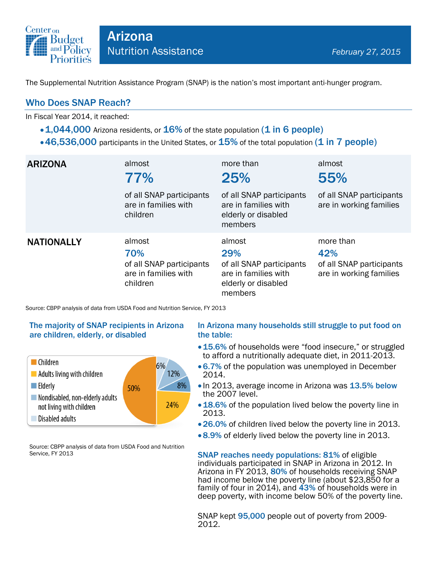

The Supplemental Nutrition Assistance Program (SNAP) is the nation's most important anti-hunger program.

## Who Does SNAP Reach?

In Fiscal Year 2014, it reached:

- $\cdot$  1,044,000 Arizona residents, or 16% of the state population (1 in 6 people)
- $\cdot$  46,536,000 participants in the United States, or  $15\%$  of the total population (1 in 7 people)

| <b>ARIZONA</b>    | almost<br>77%<br>of all SNAP participants<br>are in families with<br>children | more than<br>25%<br>of all SNAP participants<br>are in families with<br>elderly or disabled<br>members | almost<br>55%<br>of all SNAP participants<br>are in working families    |
|-------------------|-------------------------------------------------------------------------------|--------------------------------------------------------------------------------------------------------|-------------------------------------------------------------------------|
| <b>NATIONALLY</b> | almost<br>70%<br>of all SNAP participants<br>are in families with<br>children | almost<br>29%<br>of all SNAP participants<br>are in families with<br>elderly or disabled<br>members    | more than<br>42%<br>of all SNAP participants<br>are in working families |

Source: CBPP analysis of data from USDA Food and Nutrition Service, FY 2013

### The majority of SNAP recipients in Arizona are children, elderly, or disabled



Source: CBPP analysis of data from USDA Food and Nutrition Service, FY 2013

#### In Arizona many households still struggle to put food on the table:

- 15.6% of households were "food insecure," or struggled to afford a nutritionally adequate diet, in 2011-2013.
- 6.7% of the population was unemployed in December 2014.
- In 2013, average income in Arizona was 13.5% below the 2007 level.
- 18.6% of the population lived below the poverty line in 2013.
- 26.0% of children lived below the poverty line in 2013.
- 8.9% of elderly lived below the poverty line in 2013.

SNAP reaches needy populations: 81% of eligible individuals participated in SNAP in Arizona in 2012. In Arizona in FY 2013, 80% of households receiving SNAP had income below the poverty line (about \$23,850 for a family of four in 2014), and 43% of households were in deep poverty, with income below 50% of the poverty line.

SNAP kept **95,000** people out of poverty from 2009-2012.